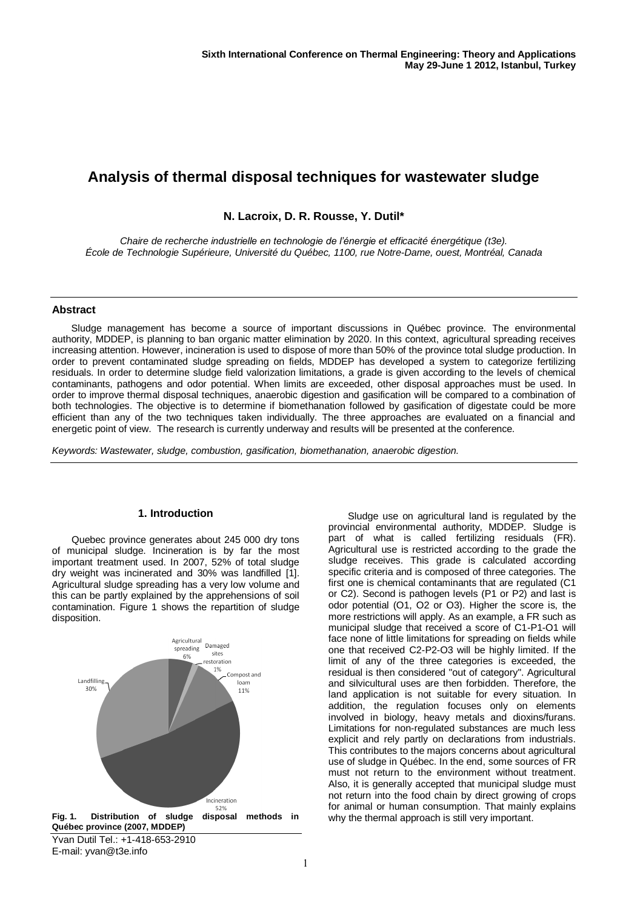# **Analysis of thermal disposal techniques for wastewater sludge**

# **N. Lacroix, D. R. Rousse, Y. Dutil\***

*Chaire de recherche industrielle en technologie de l'énergie et efficacité énergétique (t3e). École de Technologie Supérieure, Université du Québec, 1100, rue Notre-Dame, ouest, Montréal, Canada*

## **Abstract**

Sludge management has become a source of important discussions in Québec province. The environmental authority, MDDEP, is planning to ban organic matter elimination by 2020. In this context, agricultural spreading receives increasing attention. However, incineration is used to dispose of more than 50% of the province total sludge production. In order to prevent contaminated sludge spreading on fields, MDDEP has developed a system to categorize fertilizing residuals. In order to determine sludge field valorization limitations, a grade is given according to the levels of chemical contaminants, pathogens and odor potential. When limits are exceeded, other disposal approaches must be used. In order to improve thermal disposal techniques, anaerobic digestion and gasification will be compared to a combination of both technologies. The objective is to determine if biomethanation followed by gasification of digestate could be more efficient than any of the two techniques taken individually. The three approaches are evaluated on a financial and energetic point of view. The research is currently underway and results will be presented at the conference.

*Keywords: Wastewater, sludge, combustion, gasification, biomethanation, anaerobic digestion.*

## **1. Introduction**

Quebec province generates about 245 000 dry tons of municipal sludge. Incineration is by far the most important treatment used. In 2007, 52% of total sludge dry weight was incinerated and 30% was landfilled [\[1\]](#page-1-0). Agricultural sludge spreading has a very low volume and this can be partly explained by the apprehensions of soil contamination. Figure 1 shows the repartition of sludge disposition.



Sludge use on agricultural land is regulated by the provincial environmental authority, MDDEP. Sludge is part of what is called fertilizing residuals (FR). Agricultural use is restricted according to the grade the sludge receives. This grade is calculated according specific criteria and is composed of three categories. The first one is chemical contaminants that are regulated (C1 or C2). Second is pathogen levels (P1 or P2) and last is odor potential (O1, O2 or O3). Higher the score is, the more restrictions will apply. As an example, a FR such as municipal sludge that received a score of C1-P1-O1 will face none of little limitations for spreading on fields while one that received C2-P2-O3 will be highly limited. If the limit of any of the three categories is exceeded, the residual is then considered "out of category". Agricultural and silvicultural uses are then forbidden. Therefore, the land application is not suitable for every situation. In addition, the regulation focuses only on elements involved in biology, heavy metals and dioxins/furans. Limitations for non-regulated substances are much less explicit and rely partly on declarations from industrials. This contributes to the majors concerns about agricultural use of sludge in Québec. In the end, some sources of FR must not return to the environment without treatment. Also, it is generally accepted that municipal sludge must not return into the food chain by direct growing of crops for animal or human consumption. That mainly explains why the thermal approach is still very important.